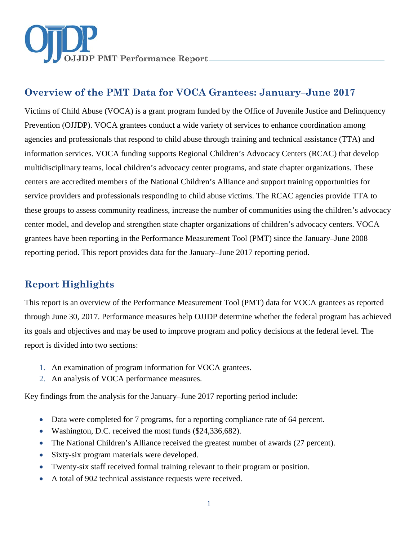

# **Overview of the PMT Data for VOCA Grantees: January–June 2017**

Victims of Child Abuse (VOCA) is a grant program funded by the Office of Juvenile Justice and Delinquency Prevention (OJJDP). VOCA grantees conduct a wide variety of services to enhance coordination among agencies and professionals that respond to child abuse through training and technical assistance (TTA) and information services. VOCA funding supports Regional Children's Advocacy Centers (RCAC) that develop multidisciplinary teams, local children's advocacy center programs, and state chapter organizations. These centers are accredited members of the National Children's Alliance and support training opportunities for service providers and professionals responding to child abuse victims. The RCAC agencies provide TTA to these groups to assess community readiness, increase the number of communities using the children's advocacy center model, and develop and strengthen state chapter organizations of children's advocacy centers. VOCA grantees have been reporting in the Performance Measurement Tool (PMT) since the January–June 2008 reporting period. This report provides data for the January–June 2017 reporting period.

# **Report Highlights**

This report is an overview of the Performance Measurement Tool (PMT) data for VOCA grantees as reported through June 30, 2017. Performance measures help OJJDP determine whether the federal program has achieved its goals and objectives and may be used to improve program and policy decisions at the federal level. The report is divided into two sections:

- 1. An examination of program information for VOCA grantees.
- 2. An analysis of VOCA performance measures.

Key findings from the analysis for the January–June 2017 reporting period include:

- Data were completed for 7 programs, for a reporting compliance rate of 64 percent.
- Washington, D.C. received the most funds (\$24,336,682).
- The National Children's Alliance received the greatest number of awards (27 percent).
- Sixty-six program materials were developed.
- Twenty-six staff received formal training relevant to their program or position.
- A total of 902 technical assistance requests were received.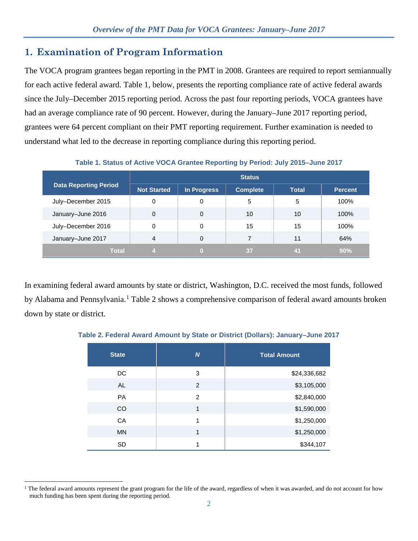## **1. Examination of Program Information**

The VOCA program grantees began reporting in the PMT in 2008. Grantees are required to report semiannually for each active federal award. Table 1, below, presents the reporting compliance rate of active federal awards since the July–December 2015 reporting period. Across the past four reporting periods, VOCA grantees have had an average compliance rate of 90 percent. However, during the January–June 2017 reporting period, grantees were 64 percent compliant on their PMT reporting requirement. Further examination is needed to understand what led to the decrease in reporting compliance during this reporting period.

|                              | <b>Status</b>      |             |                 |              |                |
|------------------------------|--------------------|-------------|-----------------|--------------|----------------|
| <b>Data Reporting Period</b> | <b>Not Started</b> | In Progress | <b>Complete</b> | <b>Total</b> | <b>Percent</b> |
| July-December 2015           | 0                  | 0           | 5               | 5            | 100%           |
| January-June 2016            | 0                  | 0           | 10              | 10           | $100\%$        |
| July-December 2016           | 0                  | 0           | 15              | 15           | 100%           |
| January-June 2017            | 4                  | 0           |                 | 11           | 64%            |
| Total                        |                    | ω           | 37              | 41           | 90%            |

**Table 1. Status of Active VOCA Grantee Reporting by Period: July 2015–June 2017**

In examining federal award amounts by state or district, Washington, D.C. received the most funds, followed by Alabama and Pennsylvania.<sup>[1](#page-1-0)</sup> Table 2 shows a comprehensive comparison of federal award amounts broken down by state or district.

| <b>State</b> | $\boldsymbol{N}$ | <b>Total Amount</b> |
|--------------|------------------|---------------------|
| DC.          | 3                | \$24,336,682        |
| <b>AL</b>    | 2                | \$3,105,000         |
| <b>PA</b>    | $\mathcal{P}$    | \$2,840,000         |
| CO           | 1                | \$1,590,000         |
| CA           | 1                | \$1,250,000         |
| <b>MN</b>    | 1                | \$1,250,000         |
| <b>SD</b>    |                  | \$344,107           |

**Table 2. Federal Award Amount by State or District (Dollars): January–June 2017**

<span id="page-1-0"></span> $\overline{a}$ <sup>1</sup> The federal award amounts represent the grant program for the life of the award, regardless of when it was awarded, and do not account for how much funding has been spent during the reporting period.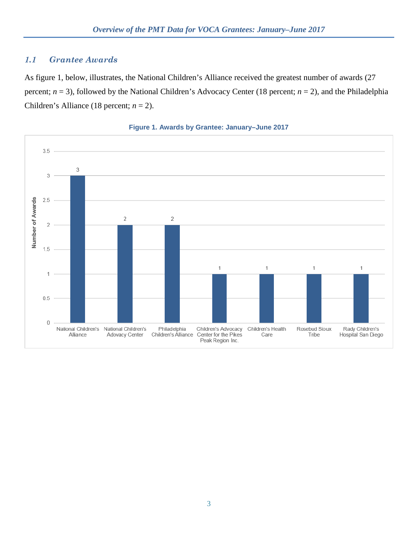## *1.1 Grantee Awards*

As figure 1, below, illustrates, the National Children's Alliance received the greatest number of awards (27 percent; *n* = 3), followed by the National Children's Advocacy Center (18 percent; *n* = 2), and the Philadelphia Children's Alliance (18 percent;  $n = 2$ ).



#### **Figure 1. Awards by Grantee: January–June 2017**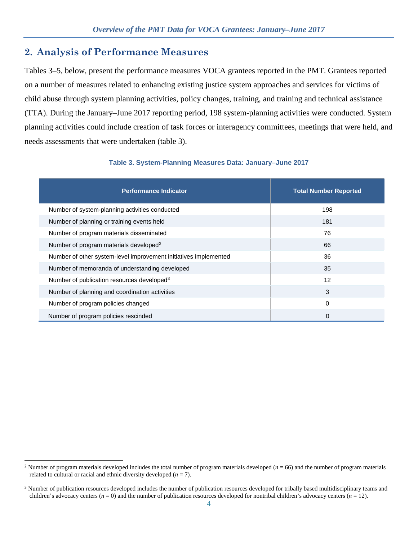## **2. Analysis of Performance Measures**

Tables 3–5, below, present the performance measures VOCA grantees reported in the PMT. Grantees reported on a number of measures related to enhancing existing justice system approaches and services for victims of child abuse through system planning activities, policy changes, training, and training and technical assistance (TTA). During the January–June 2017 reporting period, 198 system-planning activities were conducted. System planning activities could include creation of task forces or interagency committees, meetings that were held, and needs assessments that were undertaken (table 3).

| <b>Performance Indicator</b>                                     | <b>Total Number Reported</b> |
|------------------------------------------------------------------|------------------------------|
| Number of system-planning activities conducted                   | 198                          |
| Number of planning or training events held                       | 181                          |
| Number of program materials disseminated                         | 76                           |
| Number of program materials developed <sup>2</sup>               | 66                           |
| Number of other system-level improvement initiatives implemented | 36                           |
| Number of memoranda of understanding developed                   | 35                           |
| Number of publication resources developed <sup>3</sup>           | 12                           |
| Number of planning and coordination activities                   | 3                            |
| Number of program policies changed                               | 0                            |
| Number of program policies rescinded                             | 0                            |

#### **Table 3. System-Planning Measures Data: January–June 2017**

<span id="page-3-0"></span> $\overline{a}$ <sup>2</sup> Number of program materials developed includes the total number of program materials developed ( $n = 66$ ) and the number of program materials related to cultural or racial and ethnic diversity developed  $(n = 7)$ .

<span id="page-3-1"></span><sup>&</sup>lt;sup>3</sup> Number of publication resources developed includes the number of publication resources developed for tribally based multidisciplinary teams and children's advocacy centers  $(n = 0)$  and the number of publication resources developed for nontribal children's advocacy centers  $(n = 12)$ .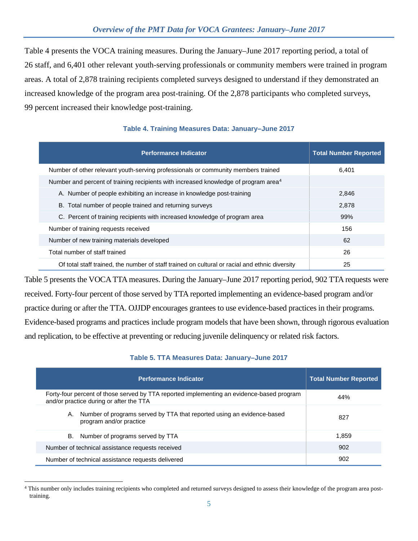Table 4 presents the VOCA training measures. During the January–June 2017 reporting period, a total of 26 staff, and 6,401 other relevant youth-serving professionals or community members were trained in program areas. A total of 2,878 training recipients completed surveys designed to understand if they demonstrated an increased knowledge of the program area post-training. Of the 2,878 participants who completed surveys, 99 percent increased their knowledge post-training.

| <b>Performance Indicator</b>                                                                    | <b>Total Number Reported</b> |
|-------------------------------------------------------------------------------------------------|------------------------------|
| Number of other relevant youth-serving professionals or community members trained               | 6,401                        |
| Number and percent of training recipients with increased knowledge of program area <sup>4</sup> |                              |
| A. Number of people exhibiting an increase in knowledge post-training                           | 2,846                        |
| B. Total number of people trained and returning surveys                                         | 2,878                        |
| C. Percent of training recipients with increased knowledge of program area                      | 99%                          |
| Number of training requests received                                                            | 156                          |
| Number of new training materials developed                                                      | 62                           |
| Total number of staff trained                                                                   | 26                           |
| Of total staff trained, the number of staff trained on cultural or racial and ethnic diversity  | 25                           |

### **Table 4. Training Measures Data: January–June 2017**

Table 5 presents the VOCA TTA measures. During the January–June 2017 reporting period, 902 TTA requests were received. Forty-four percent of those served by TTA reported implementing an evidence-based program and/or practice during or after the TTA. OJJDP encourages grantees to use evidence-based practices in their programs. Evidence-based programs and practices include program models that have been shown, through rigorous evaluation and replication, to be effective at preventing or reducing juvenile delinquency or related risk factors.

## **Table 5. TTA Measures Data: January–June 2017**

| <b>Performance Indicator</b>                                                                                                         | <b>Total Number Reported</b> |
|--------------------------------------------------------------------------------------------------------------------------------------|------------------------------|
| Forty-four percent of those served by TTA reported implementing an evidence-based program<br>and/or practice during or after the TTA | 44%                          |
| Number of programs served by TTA that reported using an evidence-based<br>А.<br>program and/or practice                              | 827                          |
| Number of programs served by TTA<br>В.                                                                                               | 1,859                        |
| Number of technical assistance requests received                                                                                     | 902                          |
| Number of technical assistance requests delivered                                                                                    | 902                          |

<span id="page-4-0"></span> $\overline{a}$ <sup>4</sup> This number only includes training recipients who completed and returned surveys designed to assess their knowledge of the program area posttraining.